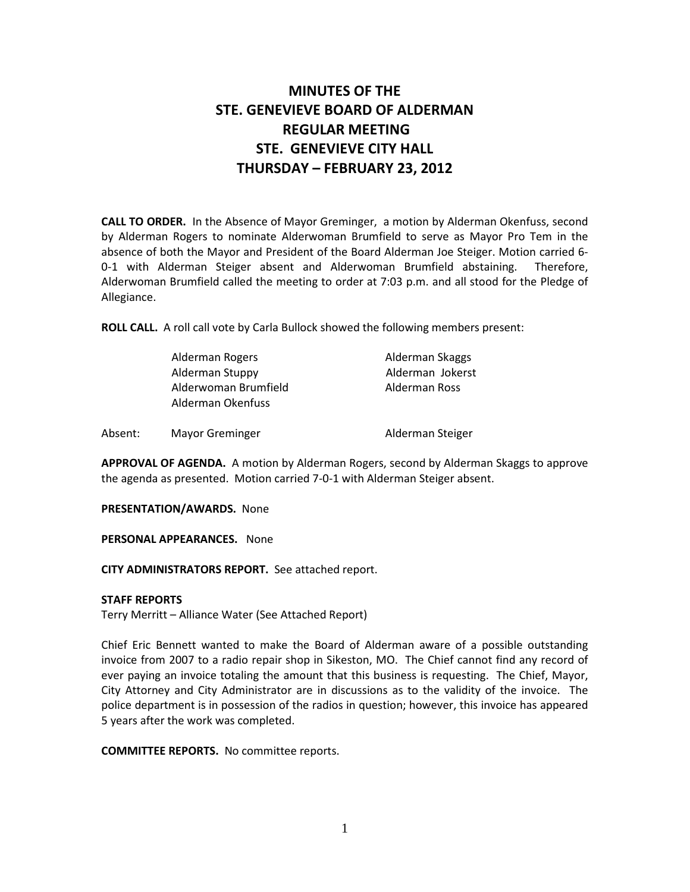# MINUTES OF THE STE. GENEVIEVE BOARD OF ALDERMAN REGULAR MEETING STE. GENEVIEVE CITY HALL THURSDAY – FEBRUARY 23, 2012

CALL TO ORDER. In the Absence of Mayor Greminger, a motion by Alderman Okenfuss, second by Alderman Rogers to nominate Alderwoman Brumfield to serve as Mayor Pro Tem in the absence of both the Mayor and President of the Board Alderman Joe Steiger. Motion carried 6- 0-1 with Alderman Steiger absent and Alderwoman Brumfield abstaining. Therefore, Alderwoman Brumfield called the meeting to order at 7:03 p.m. and all stood for the Pledge of Allegiance.

ROLL CALL. A roll call vote by Carla Bullock showed the following members present:

|         | Alderman Rogers                           | Alderman Skaggs  |
|---------|-------------------------------------------|------------------|
|         | Alderman Stuppy                           | Alderman Jokerst |
|         | Alderwoman Brumfield<br>Alderman Okenfuss | Alderman Ross    |
| Absent: | <b>Mayor Greminger</b>                    | Alderman Steiger |

APPROVAL OF AGENDA. A motion by Alderman Rogers, second by Alderman Skaggs to approve the agenda as presented. Motion carried 7-0-1 with Alderman Steiger absent.

PRESENTATION/AWARDS. None

PERSONAL APPEARANCES. None

CITY ADMINISTRATORS REPORT. See attached report.

#### STAFF REPORTS

Terry Merritt – Alliance Water (See Attached Report)

Chief Eric Bennett wanted to make the Board of Alderman aware of a possible outstanding invoice from 2007 to a radio repair shop in Sikeston, MO. The Chief cannot find any record of ever paying an invoice totaling the amount that this business is requesting. The Chief, Mayor, City Attorney and City Administrator are in discussions as to the validity of the invoice. The police department is in possession of the radios in question; however, this invoice has appeared 5 years after the work was completed.

COMMITTEE REPORTS. No committee reports.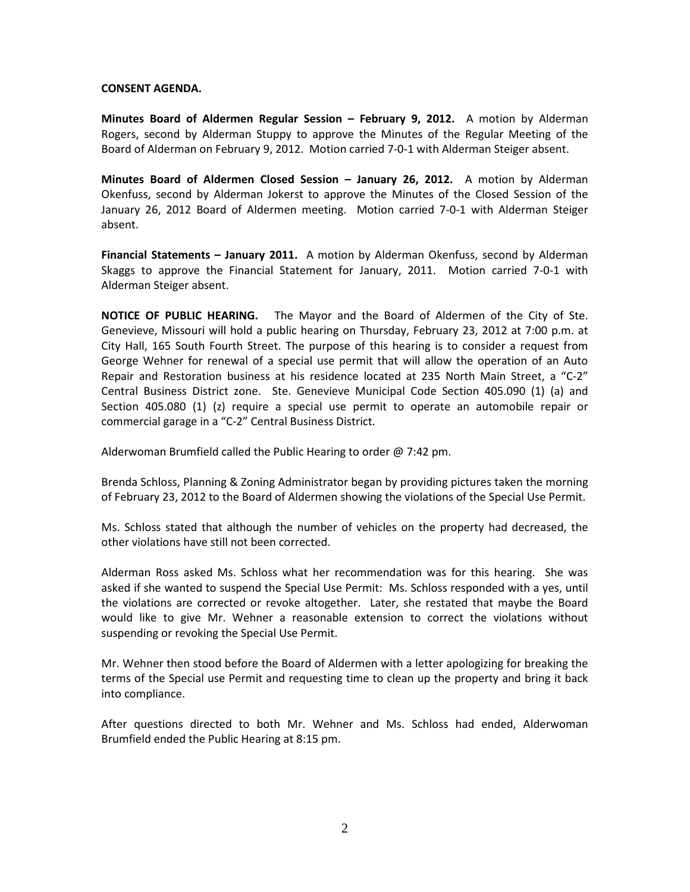### CONSENT AGENDA.

Minutes Board of Aldermen Regular Session – February 9, 2012. A motion by Alderman Rogers, second by Alderman Stuppy to approve the Minutes of the Regular Meeting of the Board of Alderman on February 9, 2012. Motion carried 7-0-1 with Alderman Steiger absent.

Minutes Board of Aldermen Closed Session – January 26, 2012. A motion by Alderman Okenfuss, second by Alderman Jokerst to approve the Minutes of the Closed Session of the January 26, 2012 Board of Aldermen meeting. Motion carried 7-0-1 with Alderman Steiger absent.

**Financial Statements – January 2011.** A motion by Alderman Okenfuss, second by Alderman Skaggs to approve the Financial Statement for January, 2011. Motion carried 7-0-1 with Alderman Steiger absent.

NOTICE OF PUBLIC HEARING. The Mayor and the Board of Aldermen of the City of Ste. Genevieve, Missouri will hold a public hearing on Thursday, February 23, 2012 at 7:00 p.m. at City Hall, 165 South Fourth Street. The purpose of this hearing is to consider a request from George Wehner for renewal of a special use permit that will allow the operation of an Auto Repair and Restoration business at his residence located at 235 North Main Street, a "C-2" Central Business District zone. Ste. Genevieve Municipal Code Section 405.090 (1) (a) and Section 405.080 (1) (z) require a special use permit to operate an automobile repair or commercial garage in a "C-2" Central Business District.

Alderwoman Brumfield called the Public Hearing to order @ 7:42 pm.

Brenda Schloss, Planning & Zoning Administrator began by providing pictures taken the morning of February 23, 2012 to the Board of Aldermen showing the violations of the Special Use Permit.

Ms. Schloss stated that although the number of vehicles on the property had decreased, the other violations have still not been corrected.

Alderman Ross asked Ms. Schloss what her recommendation was for this hearing. She was asked if she wanted to suspend the Special Use Permit: Ms. Schloss responded with a yes, until the violations are corrected or revoke altogether. Later, she restated that maybe the Board would like to give Mr. Wehner a reasonable extension to correct the violations without suspending or revoking the Special Use Permit.

Mr. Wehner then stood before the Board of Aldermen with a letter apologizing for breaking the terms of the Special use Permit and requesting time to clean up the property and bring it back into compliance.

After questions directed to both Mr. Wehner and Ms. Schloss had ended, Alderwoman Brumfield ended the Public Hearing at 8:15 pm.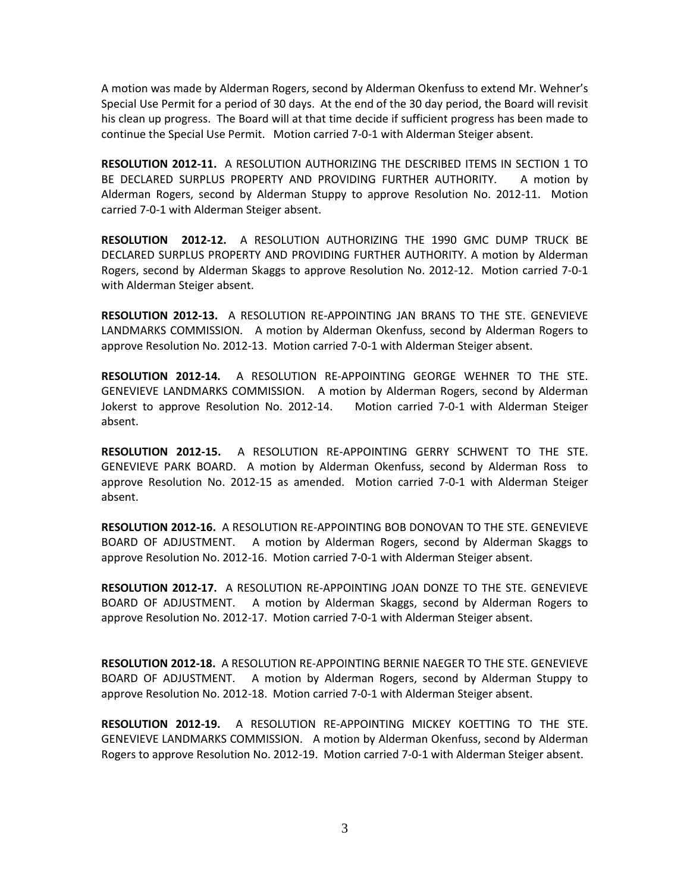A motion was made by Alderman Rogers, second by Alderman Okenfuss to extend Mr. Wehner's Special Use Permit for a period of 30 days. At the end of the 30 day period, the Board will revisit his clean up progress. The Board will at that time decide if sufficient progress has been made to continue the Special Use Permit. Motion carried 7-0-1 with Alderman Steiger absent.

RESOLUTION 2012-11. A RESOLUTION AUTHORIZING THE DESCRIBED ITEMS IN SECTION 1 TO BE DECLARED SURPLUS PROPERTY AND PROVIDING FURTHER AUTHORITY. A motion by Alderman Rogers, second by Alderman Stuppy to approve Resolution No. 2012-11. Motion carried 7-0-1 with Alderman Steiger absent.

RESOLUTION 2012-12. A RESOLUTION AUTHORIZING THE 1990 GMC DUMP TRUCK BE DECLARED SURPLUS PROPERTY AND PROVIDING FURTHER AUTHORITY. A motion by Alderman Rogers, second by Alderman Skaggs to approve Resolution No. 2012-12. Motion carried 7-0-1 with Alderman Steiger absent.

RESOLUTION 2012-13. A RESOLUTION RE-APPOINTING JAN BRANS TO THE STE. GENEVIEVE LANDMARKS COMMISSION. A motion by Alderman Okenfuss, second by Alderman Rogers to approve Resolution No. 2012-13. Motion carried 7-0-1 with Alderman Steiger absent.

RESOLUTION 2012-14. A RESOLUTION RE-APPOINTING GEORGE WEHNER TO THE STE. GENEVIEVE LANDMARKS COMMISSION. A motion by Alderman Rogers, second by Alderman Jokerst to approve Resolution No. 2012-14. Motion carried 7-0-1 with Alderman Steiger absent.

RESOLUTION 2012-15. A RESOLUTION RE-APPOINTING GERRY SCHWENT TO THE STE. GENEVIEVE PARK BOARD. A motion by Alderman Okenfuss, second by Alderman Ross to approve Resolution No. 2012-15 as amended. Motion carried 7-0-1 with Alderman Steiger absent.

RESOLUTION 2012-16. A RESOLUTION RE-APPOINTING BOB DONOVAN TO THE STE. GENEVIEVE BOARD OF ADJUSTMENT. A motion by Alderman Rogers, second by Alderman Skaggs to approve Resolution No. 2012-16. Motion carried 7-0-1 with Alderman Steiger absent.

RESOLUTION 2012-17. A RESOLUTION RE-APPOINTING JOAN DONZE TO THE STE. GENEVIEVE BOARD OF ADJUSTMENT. A motion by Alderman Skaggs, second by Alderman Rogers to approve Resolution No. 2012-17. Motion carried 7-0-1 with Alderman Steiger absent.

RESOLUTION 2012-18. A RESOLUTION RE-APPOINTING BERNIE NAEGER TO THE STE. GENEVIEVE BOARD OF ADJUSTMENT. A motion by Alderman Rogers, second by Alderman Stuppy to approve Resolution No. 2012-18. Motion carried 7-0-1 with Alderman Steiger absent.

RESOLUTION 2012-19. A RESOLUTION RE-APPOINTING MICKEY KOETTING TO THE STE. GENEVIEVE LANDMARKS COMMISSION. A motion by Alderman Okenfuss, second by Alderman Rogers to approve Resolution No. 2012-19. Motion carried 7-0-1 with Alderman Steiger absent.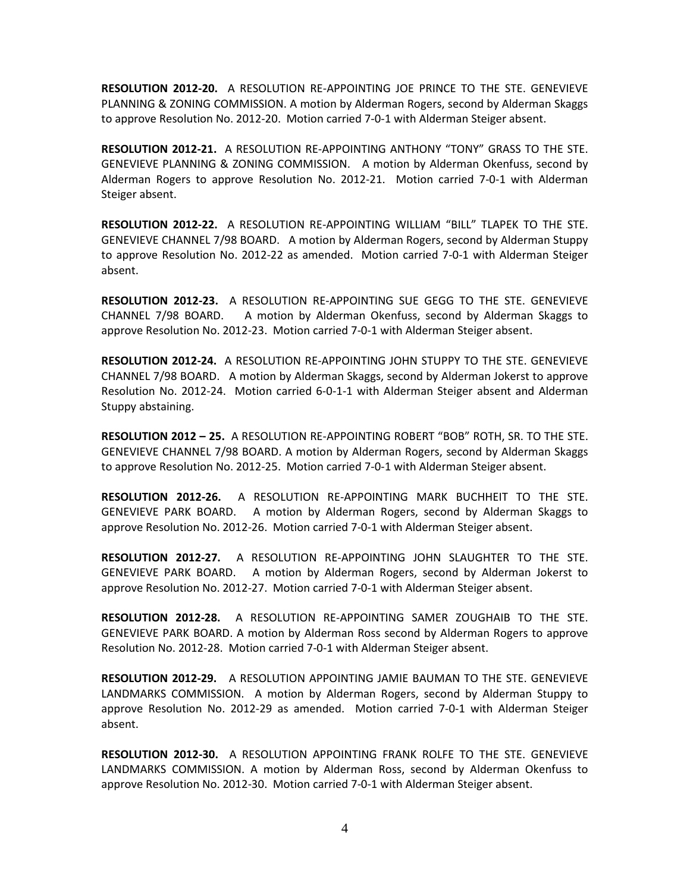RESOLUTION 2012-20. A RESOLUTION RE-APPOINTING JOE PRINCE TO THE STE. GENEVIEVE PLANNING & ZONING COMMISSION. A motion by Alderman Rogers, second by Alderman Skaggs to approve Resolution No. 2012-20. Motion carried 7-0-1 with Alderman Steiger absent.

RESOLUTION 2012-21. A RESOLUTION RE-APPOINTING ANTHONY "TONY" GRASS TO THE STE. GENEVIEVE PLANNING & ZONING COMMISSION. A motion by Alderman Okenfuss, second by Alderman Rogers to approve Resolution No. 2012-21. Motion carried 7-0-1 with Alderman Steiger absent.

RESOLUTION 2012-22. A RESOLUTION RE-APPOINTING WILLIAM "BILL" TLAPEK TO THE STE. GENEVIEVE CHANNEL 7/98 BOARD. A motion by Alderman Rogers, second by Alderman Stuppy to approve Resolution No. 2012-22 as amended. Motion carried 7-0-1 with Alderman Steiger absent.

RESOLUTION 2012-23. A RESOLUTION RE-APPOINTING SUE GEGG TO THE STE. GENEVIEVE CHANNEL 7/98 BOARD. A motion by Alderman Okenfuss, second by Alderman Skaggs to approve Resolution No. 2012-23. Motion carried 7-0-1 with Alderman Steiger absent.

RESOLUTION 2012-24. A RESOLUTION RE-APPOINTING JOHN STUPPY TO THE STE. GENEVIEVE CHANNEL 7/98 BOARD. A motion by Alderman Skaggs, second by Alderman Jokerst to approve Resolution No. 2012-24. Motion carried 6-0-1-1 with Alderman Steiger absent and Alderman Stuppy abstaining.

RESOLUTION 2012 – 25. A RESOLUTION RE-APPOINTING ROBERT "BOB" ROTH, SR. TO THE STE. GENEVIEVE CHANNEL 7/98 BOARD. A motion by Alderman Rogers, second by Alderman Skaggs to approve Resolution No. 2012-25. Motion carried 7-0-1 with Alderman Steiger absent.

RESOLUTION 2012-26. A RESOLUTION RE-APPOINTING MARK BUCHHEIT TO THE STE. GENEVIEVE PARK BOARD. A motion by Alderman Rogers, second by Alderman Skaggs to approve Resolution No. 2012-26. Motion carried 7-0-1 with Alderman Steiger absent.

RESOLUTION 2012-27. A RESOLUTION RE-APPOINTING JOHN SLAUGHTER TO THE STE. GENEVIEVE PARK BOARD. A motion by Alderman Rogers, second by Alderman Jokerst to approve Resolution No. 2012-27. Motion carried 7-0-1 with Alderman Steiger absent.

RESOLUTION 2012-28. A RESOLUTION RE-APPOINTING SAMER ZOUGHAIB TO THE STE. GENEVIEVE PARK BOARD. A motion by Alderman Ross second by Alderman Rogers to approve Resolution No. 2012-28. Motion carried 7-0-1 with Alderman Steiger absent.

RESOLUTION 2012-29. A RESOLUTION APPOINTING JAMIE BAUMAN TO THE STE. GENEVIEVE LANDMARKS COMMISSION. A motion by Alderman Rogers, second by Alderman Stuppy to approve Resolution No. 2012-29 as amended. Motion carried 7-0-1 with Alderman Steiger absent.

RESOLUTION 2012-30. A RESOLUTION APPOINTING FRANK ROLFE TO THE STE. GENEVIEVE LANDMARKS COMMISSION. A motion by Alderman Ross, second by Alderman Okenfuss to approve Resolution No. 2012-30. Motion carried 7-0-1 with Alderman Steiger absent.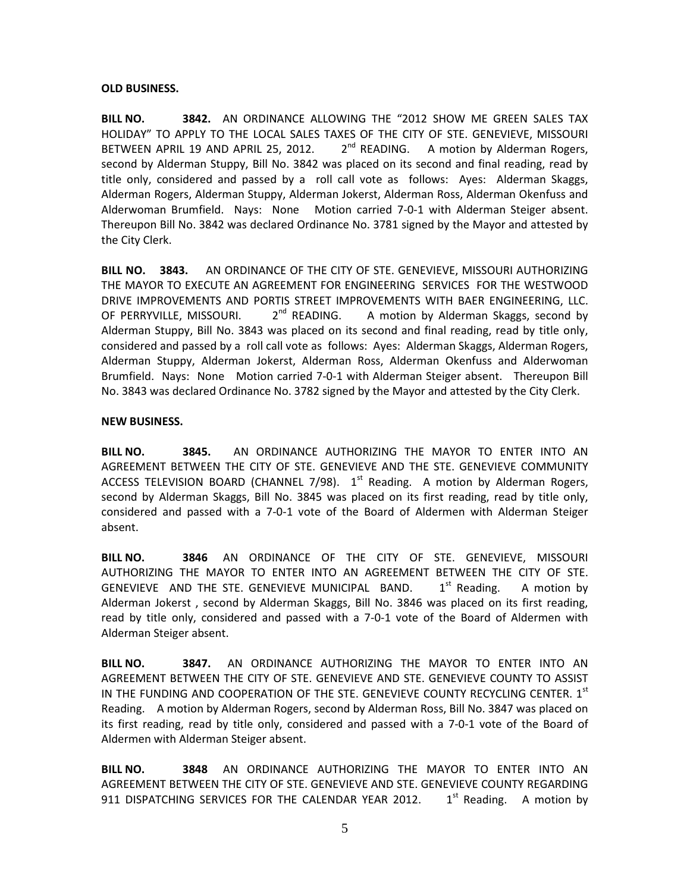# OLD BUSINESS.

BILL NO. **3842.** AN ORDINANCE ALLOWING THE "2012 SHOW ME GREEN SALES TAX HOLIDAY" TO APPLY TO THE LOCAL SALES TAXES OF THE CITY OF STE. GENEVIEVE, MISSOURI BETWEEN APRIL 19 AND APRIL 25, 2012.  $2^{nd}$  READING. A motion by Alderman Rogers, second by Alderman Stuppy, Bill No. 3842 was placed on its second and final reading, read by title only, considered and passed by a roll call vote as follows: Ayes: Alderman Skaggs, Alderman Rogers, Alderman Stuppy, Alderman Jokerst, Alderman Ross, Alderman Okenfuss and Alderwoman Brumfield. Nays: None Motion carried 7-0-1 with Alderman Steiger absent. Thereupon Bill No. 3842 was declared Ordinance No. 3781 signed by the Mayor and attested by the City Clerk.

BILL NO. 3843. AN ORDINANCE OF THE CITY OF STE. GENEVIEVE, MISSOURI AUTHORIZING THE MAYOR TO EXECUTE AN AGREEMENT FOR ENGINEERING SERVICES FOR THE WESTWOOD DRIVE IMPROVEMENTS AND PORTIS STREET IMPROVEMENTS WITH BAER ENGINEERING, LLC. OF PERRYVILLE, MISSOURI.  $2^{nd}$  READING. A motion by Alderman Skaggs, second by Alderman Stuppy, Bill No. 3843 was placed on its second and final reading, read by title only, considered and passed by a roll call vote as follows: Ayes: Alderman Skaggs, Alderman Rogers, Alderman Stuppy, Alderman Jokerst, Alderman Ross, Alderman Okenfuss and Alderwoman Brumfield. Nays: None Motion carried 7-0-1 with Alderman Steiger absent. Thereupon Bill No. 3843 was declared Ordinance No. 3782 signed by the Mayor and attested by the City Clerk.

# NEW BUSINESS.

BILL NO. 3845. AN ORDINANCE AUTHORIZING THE MAYOR TO ENTER INTO AN AGREEMENT BETWEEN THE CITY OF STE. GENEVIEVE AND THE STE. GENEVIEVE COMMUNITY ACCESS TELEVISION BOARD (CHANNEL 7/98).  $1<sup>st</sup>$  Reading. A motion by Alderman Rogers, second by Alderman Skaggs, Bill No. 3845 was placed on its first reading, read by title only, considered and passed with a 7-0-1 vote of the Board of Aldermen with Alderman Steiger absent.

BILL NO. 3846 AN ORDINANCE OF THE CITY OF STE. GENEVIEVE, MISSOURI AUTHORIZING THE MAYOR TO ENTER INTO AN AGREEMENT BETWEEN THE CITY OF STE. GENEVIEVE AND THE STE. GENEVIEVE MUNICIPAL BAND.  $1^{st}$  Reading. A motion by Alderman Jokerst , second by Alderman Skaggs, Bill No. 3846 was placed on its first reading, read by title only, considered and passed with a 7-0-1 vote of the Board of Aldermen with Alderman Steiger absent.

BILL NO. 3847. AN ORDINANCE AUTHORIZING THE MAYOR TO ENTER INTO AN AGREEMENT BETWEEN THE CITY OF STE. GENEVIEVE AND STE. GENEVIEVE COUNTY TO ASSIST IN THE FUNDING AND COOPERATION OF THE STE. GENEVIEVE COUNTY RECYCLING CENTER.  $1<sup>st</sup>$ Reading. A motion by Alderman Rogers, second by Alderman Ross, Bill No. 3847 was placed on its first reading, read by title only, considered and passed with a 7-0-1 vote of the Board of Aldermen with Alderman Steiger absent.

BILL NO. **3848** AN ORDINANCE AUTHORIZING THE MAYOR TO ENTER INTO AN AGREEMENT BETWEEN THE CITY OF STE. GENEVIEVE AND STE. GENEVIEVE COUNTY REGARDING 911 DISPATCHING SERVICES FOR THE CALENDAR YEAR 2012.  $1<sup>st</sup>$  Reading. A motion by